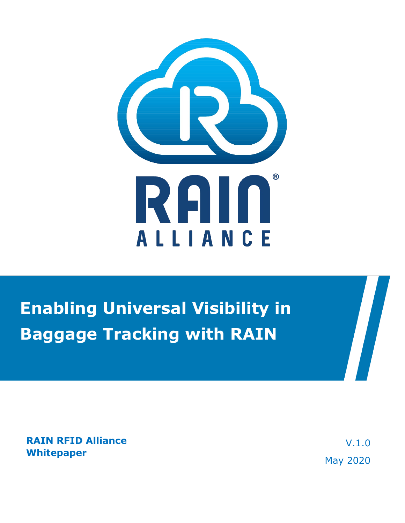

# **Enabling Universal Visibility in Baggage Tracking with RAIN**

**RAIN RFID Alliance Whitepaper**

V.1.0 May 2020

 $\sqrt{2}$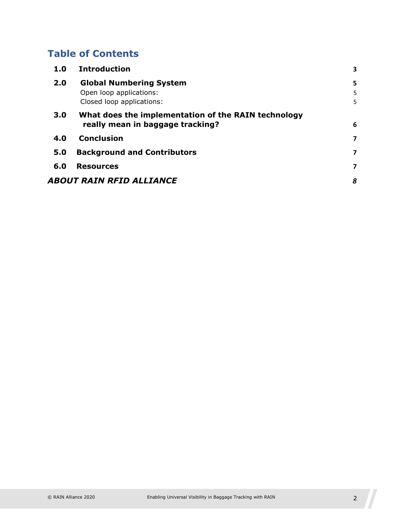## **Table of Contents**

| 1.0 | <b>Introduction</b>                                 | 3 |  |
|-----|-----------------------------------------------------|---|--|
| 2.0 | <b>Global Numbering System</b>                      | 5 |  |
|     | Open loop applications:                             | 5 |  |
|     | Closed loop applications:                           | 5 |  |
| 3.0 | What does the implementation of the RAIN technology |   |  |
|     | really mean in baggage tracking?                    | 6 |  |
| 4.0 | <b>Conclusion</b>                                   | 7 |  |
| 5.0 | <b>Background and Contributors</b>                  | 7 |  |
| 6.0 | <b>Resources</b>                                    | 7 |  |
|     | ABOUT RAIN RFID ALLIANCE                            | 8 |  |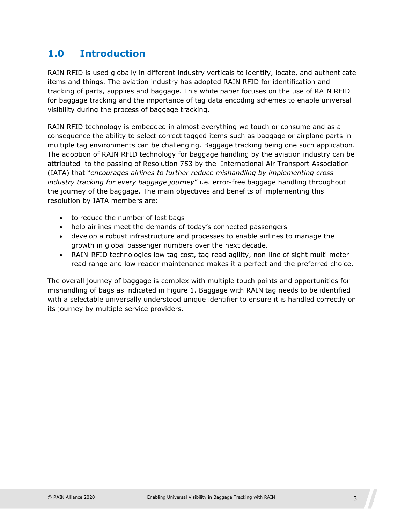### <span id="page-2-0"></span>**1.0 Introduction**

RAIN RFID is used globally in different industry verticals to identify, locate, and authenticate items and things. The aviation industry has adopted RAIN RFID for identification and tracking of parts, supplies and baggage. This white paper focuses on the use of RAIN RFID for baggage tracking and the importance of tag data encoding schemes to enable universal visibility during the process of baggage tracking.

RAIN RFID technology is embedded in almost everything we touch or consume and as a consequence the ability to select correct tagged items such as baggage or airplane parts in multiple tag environments can be challenging. Baggage tracking being one such application. The adoption of RAIN RFID technology for baggage handling by the aviation industry can be attributed to the passing of Resolution 753 by the International Air Transport Association (IATA) that "*encourages airlines to further reduce mishandling by implementing crossindustry tracking for every baggage journey*" i.e. error-free baggage handling throughout the journey of the baggage. The main objectives and benefits of implementing this resolution by IATA members are:

- to reduce the number of lost bags
- help airlines meet the demands of today's connected passengers
- develop a robust infrastructure and processes to enable airlines to manage the growth in global passenger numbers over the next decade.
- RAIN-RFID technologies low tag cost, tag read agility, non-line of sight multi meter read range and low reader maintenance makes it a perfect and the preferred choice.

The overall journey of baggage is complex with multiple touch points and opportunities for mishandling of bags as indicated in Figure 1. Baggage with RAIN tag needs to be identified with a selectable universally understood unique identifier to ensure it is handled correctly on its journey by multiple service providers.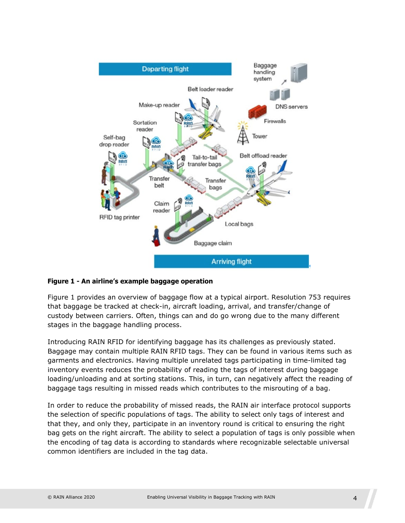

#### **Figure 1 - An airline's example baggage operation**

Figure 1 provides an overview of baggage flow at a typical airport. Resolution 753 requires that baggage be tracked at check-in, aircraft loading, arrival, and transfer/change of custody between carriers. Often, things can and do go wrong due to the many different stages in the baggage handling process.

Introducing RAIN RFID for identifying baggage has its challenges as previously stated. Baggage may contain multiple RAIN RFID tags. They can be found in various items such as garments and electronics. Having multiple unrelated tags participating in time-limited tag inventory events reduces the probability of reading the tags of interest during baggage loading/unloading and at sorting stations. This, in turn, can negatively affect the reading of baggage tags resulting in missed reads which contributes to the misrouting of a bag.

In order to reduce the probability of missed reads, the RAIN air interface protocol supports the selection of specific populations of tags. The ability to select only tags of interest and that they, and only they, participate in an inventory round is critical to ensuring the right bag gets on the right aircraft. The ability to select a population of tags is only possible when the encoding of tag data is according to standards where recognizable selectable universal common identifiers are included in the tag data.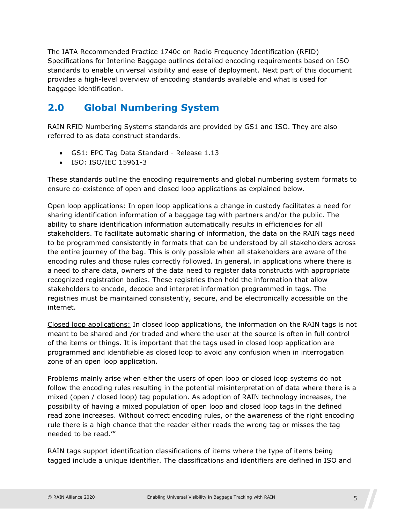The IATA Recommended Practice 1740c on Radio Frequency Identification (RFID) Specifications for Interline Baggage outlines detailed encoding requirements based on ISO standards to enable universal visibility and ease of deployment. Next part of this document provides a high-level overview of encoding standards available and what is used for baggage identification.

### <span id="page-4-0"></span>**2.0 Global Numbering System**

RAIN RFID Numbering Systems standards are provided by GS1 and ISO. They are also referred to as data construct standards.

- GS1: EPC Tag Data Standard Release 1.13
- ISO: ISO/IEC 15961-3

These standards outline the encoding requirements and global numbering system formats to ensure co-existence of open and closed loop applications as explained below.

<span id="page-4-1"></span>Open loop applications: In open loop applications a change in custody facilitates a need for sharing identification information of a baggage tag with partners and/or the public. The ability to share identification information automatically results in efficiencies for all stakeholders. To facilitate automatic sharing of information, the data on the RAIN tags need to be programmed consistently in formats that can be understood by all stakeholders across the entire journey of the bag. This is only possible when all stakeholders are aware of the encoding rules and those rules correctly followed. In general, in applications where there is a need to share data, owners of the data need to register data constructs with appropriate recognized registration bodies. These registries then hold the information that allow stakeholders to encode, decode and interpret information programmed in tags. The registries must be maintained consistently, secure, and be electronically accessible on the internet.

<span id="page-4-2"></span>Closed loop applications: In closed loop applications, the information on the RAIN tags is not meant to be shared and /or traded and where the user at the source is often in full control of the items or things. It is important that the tags used in closed loop application are programmed and identifiable as closed loop to avoid any confusion when in interrogation zone of an open loop application.

Problems mainly arise when either the users of open loop or closed loop systems do not follow the encoding rules resulting in the potential misinterpretation of data where there is a mixed (open / closed loop) tag population. As adoption of RAIN technology increases, the possibility of having a mixed population of open loop and closed loop tags in the defined read zone increases. Without correct encoding rules, or the awareness of the right encoding rule there is a high chance that the reader either reads the wrong tag or misses the tag needed to be read.'"

RAIN tags support identification classifications of items where the type of items being tagged include a unique identifier. The classifications and identifiers are defined in ISO and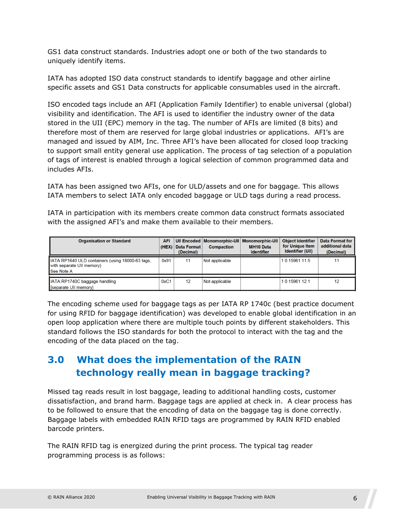GS1 data construct standards. Industries adopt one or both of the two standards to uniquely identify items.

IATA has adopted ISO data construct standards to identify baggage and other airline specific assets and GS1 Data constructs for applicable consumables used in the aircraft.

ISO encoded tags include an AFI (Application Family Identifier) to enable universal (global) visibility and identification. The AFI is used to identifier the industry owner of the data stored in the UII (EPC) memory in the tag. The number of AFIs are limited (8 bits) and therefore most of them are reserved for large global industries or applications. AFI's are managed and issued by AIM, Inc. Three AFI's have been allocated for closed loop tracking to support small entity general use application. The process of tag selection of a population of tags of interest is enabled through a logical selection of common programmed data and includes AFIs.

IATA has been assigned two AFIs, one for ULD/assets and one for baggage. This allows IATA members to select IATA only encoded baggage or ULD tags during a read process.

IATA in participation with its members create common data construct formats associated with the assigned AFI's and make them available to their members.

| <b>Organisation or Standard</b>                                                             | <b>AFI</b><br>(HEX) | <b>Data Format</b><br>(Decimal) | UII Encoded   Monomorphic-UII   Monomorphic-UII<br><b>Compaction</b> | <b>MH10 Data</b><br><b>Identifier</b> | <b>Object Identifier</b><br>for Unique Item<br><b>Identifier (UII)</b> | <b>Data Format for</b><br>additional data<br>(Decimal) |
|---------------------------------------------------------------------------------------------|---------------------|---------------------------------|----------------------------------------------------------------------|---------------------------------------|------------------------------------------------------------------------|--------------------------------------------------------|
| IATA RP1640 ULD containers (using 18000-63 tags,<br>with separate UII memory)<br>See Note A | 0x91                | 11                              | Not applicable                                                       |                                       | 10 15961 115                                                           |                                                        |
| IATA RP1740C baggage handling<br>[separate UII memory]                                      | 0xC1                | 12                              | Not applicable                                                       |                                       | 10 15961 12 1                                                          | 12                                                     |

The encoding scheme used for baggage tags as per IATA RP 1740c (best practice document for using RFID for baggage identification) was developed to enable global identification in an open loop application where there are multiple touch points by different stakeholders. This standard follows the ISO standards for both the protocol to interact with the tag and the encoding of the data placed on the tag.

### <span id="page-5-0"></span>**3.0 What does the implementation of the RAIN technology really mean in baggage tracking?**

Missed tag reads result in lost baggage, leading to additional handling costs, customer dissatisfaction, and brand harm. Baggage tags are applied at check in. A clear process has to be followed to ensure that the encoding of data on the baggage tag is done correctly. Baggage labels with embedded RAIN RFID tags are programmed by RAIN RFID enabled barcode printers.

The RAIN RFID tag is energized during the print process. The typical tag reader programming process is as follows: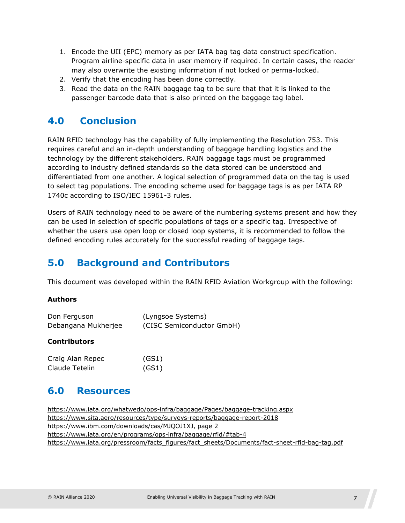- 1. Encode the UII (EPC) memory as per IATA bag tag data construct specification. Program airline-specific data in user memory if required. In certain cases, the reader may also overwrite the existing information if not locked or perma-locked.
- 2. Verify that the encoding has been done correctly.
- 3. Read the data on the RAIN baggage tag to be sure that that it is linked to the passenger barcode data that is also printed on the baggage tag label.

#### <span id="page-6-0"></span>**4.0 Conclusion**

RAIN RFID technology has the capability of fully implementing the Resolution 753. This requires careful and an in-depth understanding of baggage handling logistics and the technology by the different stakeholders. RAIN baggage tags must be programmed according to industry defined standards so the data stored can be understood and differentiated from one another. A logical selection of programmed data on the tag is used to select tag populations. The encoding scheme used for baggage tags is as per IATA RP 1740c according to ISO/IEC 15961-3 rules.

Users of RAIN technology need to be aware of the numbering systems present and how they can be used in selection of specific populations of tags or a specific tag. Irrespective of whether the users use open loop or closed loop systems, it is recommended to follow the defined encoding rules accurately for the successful reading of baggage tags.

#### <span id="page-6-1"></span>**5.0 Background and Contributors**

This document was developed within the RAIN RFID Aviation Workgroup with the following:

#### **Authors**

| Don Ferguson        | (Lyngsoe Systems)         |
|---------------------|---------------------------|
| Debangana Mukherjee | (CISC Semiconductor GmbH) |

#### **Contributors**

| Craig Alan Repec | (GS1) |
|------------------|-------|
| Claude Tetelin   | (GS1) |

#### <span id="page-6-2"></span>**6.0 Resources**

https:/[/www.iata.org/whatwedo/ops-infra/baggage/Pages/baggage-tracking.aspx](http://www.iata.org/whatwedo/ops-infra/baggage/Pages/baggage-tracking.aspx) https:/[/www.sita.aero/resources/type/surveys-reports/baggage-report-2018](http://www.sita.aero/resources/type/surveys-reports/baggage-report-2018) [https://www.ibm.com/downloads/cas/MJQOJ1XJ, page 2](https://www.ibm.com/downloads/cas/MJQOJ1XJ,%20page%202) <https://www.iata.org/en/programs/ops-infra/baggage/rfid/#tab-4> [https://www.iata.org/pressroom/facts\\_figures/fact\\_sheets/Documents/fact-sheet-rfid-bag-tag.pdf](https://www.iata.org/pressroom/facts_figures/fact_sheets/Documents/fact-sheet-rfid-bag-tag.pdf)